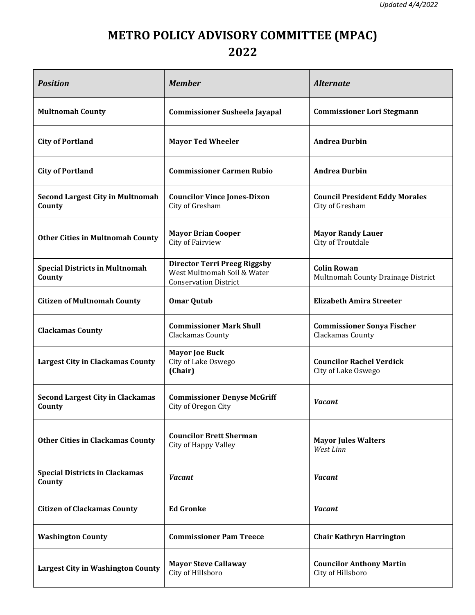## **METRO POLICY ADVISORY COMMITTEE (MPAC) 2022**

| <b>Position</b>                                   | <b>Member</b>                                                                                      | <b>Alternate</b>                                         |
|---------------------------------------------------|----------------------------------------------------------------------------------------------------|----------------------------------------------------------|
| <b>Multnomah County</b>                           | <b>Commissioner Susheela Jayapal</b>                                                               | <b>Commissioner Lori Stegmann</b>                        |
| <b>City of Portland</b>                           | <b>Mayor Ted Wheeler</b>                                                                           | <b>Andrea Durbin</b>                                     |
| <b>City of Portland</b>                           | <b>Commissioner Carmen Rubio</b>                                                                   | <b>Andrea Durbin</b>                                     |
| <b>Second Largest City in Multnomah</b><br>County | <b>Councilor Vince Jones-Dixon</b><br>City of Gresham                                              | <b>Council President Eddy Morales</b><br>City of Gresham |
| <b>Other Cities in Multnomah County</b>           | <b>Mayor Brian Cooper</b><br>City of Fairview                                                      | <b>Mayor Randy Lauer</b><br>City of Troutdale            |
| <b>Special Districts in Multnomah</b><br>County   | <b>Director Terri Preeg Riggsby</b><br>West Multnomah Soil & Water<br><b>Conservation District</b> | <b>Colin Rowan</b><br>Multnomah County Drainage District |
| <b>Citizen of Multnomah County</b>                | <b>Omar Qutub</b>                                                                                  | <b>Elizabeth Amira Streeter</b>                          |
| <b>Clackamas County</b>                           | <b>Commissioner Mark Shull</b><br>Clackamas County                                                 | <b>Commissioner Sonya Fischer</b><br>Clackamas County    |
| <b>Largest City in Clackamas County</b>           | <b>Mayor Joe Buck</b><br>City of Lake Oswego<br>(Chair)                                            | <b>Councilor Rachel Verdick</b><br>City of Lake Oswego   |
| <b>Second Largest City in Clackamas</b><br>County | <b>Commissioner Denyse McGriff</b><br>City of Oregon City                                          | <b>Vacant</b>                                            |
| <b>Other Cities in Clackamas County</b>           | <b>Councilor Brett Sherman</b><br>City of Happy Valley                                             | <b>Mayor Jules Walters</b><br>West Linn                  |
| <b>Special Districts in Clackamas</b><br>County   | <b>Vacant</b>                                                                                      | <b>Vacant</b>                                            |
| <b>Citizen of Clackamas County</b>                | <b>Ed Gronke</b>                                                                                   | <b>Vacant</b>                                            |
| <b>Washington County</b>                          | <b>Commissioner Pam Treece</b>                                                                     | <b>Chair Kathryn Harrington</b>                          |
| <b>Largest City in Washington County</b>          | <b>Mayor Steve Callaway</b><br>City of Hillsboro                                                   | <b>Councilor Anthony Martin</b><br>City of Hillsboro     |